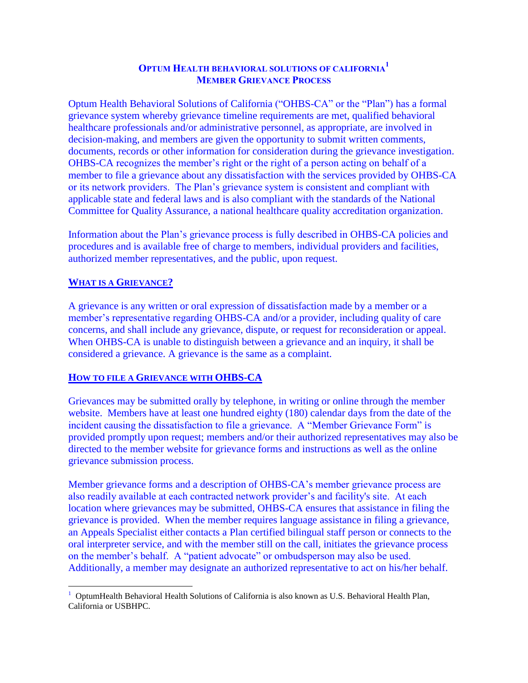# **OPTUM HEALTH BEHAVIORAL SOLUTIONS OF CALIFORNIA<sup>1</sup> MEMBER GRIEVANCE PROCESS**

Optum Health Behavioral Solutions of California ("OHBS-CA" or the "Plan") has a formal grievance system whereby grievance timeline requirements are met, qualified behavioral healthcare professionals and/or administrative personnel, as appropriate, are involved in decision-making, and members are given the opportunity to submit written comments, documents, records or other information for consideration during the grievance investigation. OHBS-CA recognizes the member's right or the right of a person acting on behalf of a member to file a grievance about any dissatisfaction with the services provided by OHBS-CA or its network providers. The Plan's grievance system is consistent and compliant with applicable state and federal laws and is also compliant with the standards of the National Committee for Quality Assurance, a national healthcare quality accreditation organization.

Information about the Plan's grievance process is fully described in OHBS-CA policies and procedures and is available free of charge to members, individual providers and facilities, authorized member representatives, and the public, upon request.

## **WHAT IS A GRIEVANCE?**

A grievance is any written or oral expression of dissatisfaction made by a member or a member's representative regarding OHBS-CA and/or a provider, including quality of care concerns, and shall include any grievance, dispute, or request for reconsideration or appeal. When OHBS-CA is unable to distinguish between a grievance and an inquiry, it shall be considered a grievance. A grievance is the same as a complaint.

### **HOW TO FILE A GRIEVANCE WITH OHBS-CA**

Grievances may be submitted orally by telephone, in writing or online through the member website. Members have at least one hundred eighty (180) calendar days from the date of the incident causing the dissatisfaction to file a grievance. A "Member Grievance Form" is provided promptly upon request; members and/or their authorized representatives may also be directed to the member website for grievance forms and instructions as well as the online grievance submission process.

Member grievance forms and a description of OHBS-CA's member grievance process are also readily available at each contracted network provider's and facility's site. At each location where grievances may be submitted, OHBS-CA ensures that assistance in filing the grievance is provided. When the member requires language assistance in filing a grievance, an Appeals Specialist either contacts a Plan certified bilingual staff person or connects to the oral interpreter service, and with the member still on the call, initiates the grievance process on the member's behalf. A "patient advocate" or ombudsperson may also be used. Additionally, a member may designate an authorized representative to act on his/her behalf.

 $\overline{a}$ <sup>1</sup> OptumHealth Behavioral Health Solutions of California is also known as U.S. Behavioral Health Plan, California or USBHPC.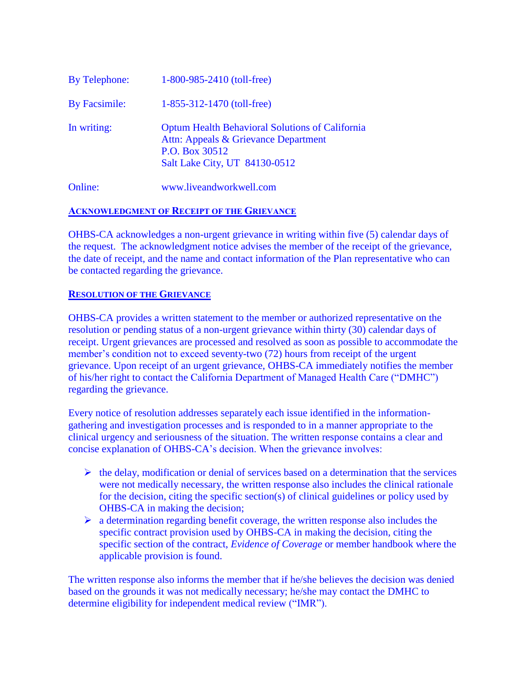| <b>Online:</b> | www.liveandworkwell.com                                                                                                                           |
|----------------|---------------------------------------------------------------------------------------------------------------------------------------------------|
| In writing:    | <b>Optum Health Behavioral Solutions of California</b><br>Attn: Appeals & Grievance Department<br>P.O. Box 30512<br>Salt Lake City, UT 84130-0512 |
| By Facsimile:  | $1-855-312-1470$ (toll-free)                                                                                                                      |
| By Telephone:  | $1-800-985-2410$ (toll-free)                                                                                                                      |

#### **ACKNOWLEDGMENT OF RECEIPT OF THE GRIEVANCE**

OHBS-CA acknowledges a non-urgent grievance in writing within five (5) calendar days of the request. The acknowledgment notice advises the member of the receipt of the grievance, the date of receipt, and the name and contact information of the Plan representative who can be contacted regarding the grievance.

#### **RESOLUTION OF THE GRIEVANCE**

OHBS-CA provides a written statement to the member or authorized representative on the resolution or pending status of a non-urgent grievance within thirty (30) calendar days of receipt. Urgent grievances are processed and resolved as soon as possible to accommodate the member's condition not to exceed seventy-two (72) hours from receipt of the urgent grievance. Upon receipt of an urgent grievance, OHBS-CA immediately notifies the member of his/her right to contact the California Department of Managed Health Care ("DMHC") regarding the grievance.

Every notice of resolution addresses separately each issue identified in the informationgathering and investigation processes and is responded to in a manner appropriate to the clinical urgency and seriousness of the situation. The written response contains a clear and concise explanation of OHBS-CA's decision. When the grievance involves:

- $\triangleright$  the delay, modification or denial of services based on a determination that the services were not medically necessary, the written response also includes the clinical rationale for the decision, citing the specific section(s) of clinical guidelines or policy used by OHBS-CA in making the decision;
- $\triangleright$  a determination regarding benefit coverage, the written response also includes the specific contract provision used by OHBS-CA in making the decision, citing the specific section of the contract, *Evidence of Coverage* or member handbook where the applicable provision is found.

The written response also informs the member that if he/she believes the decision was denied based on the grounds it was not medically necessary; he/she may contact the DMHC to determine eligibility for independent medical review ("IMR").